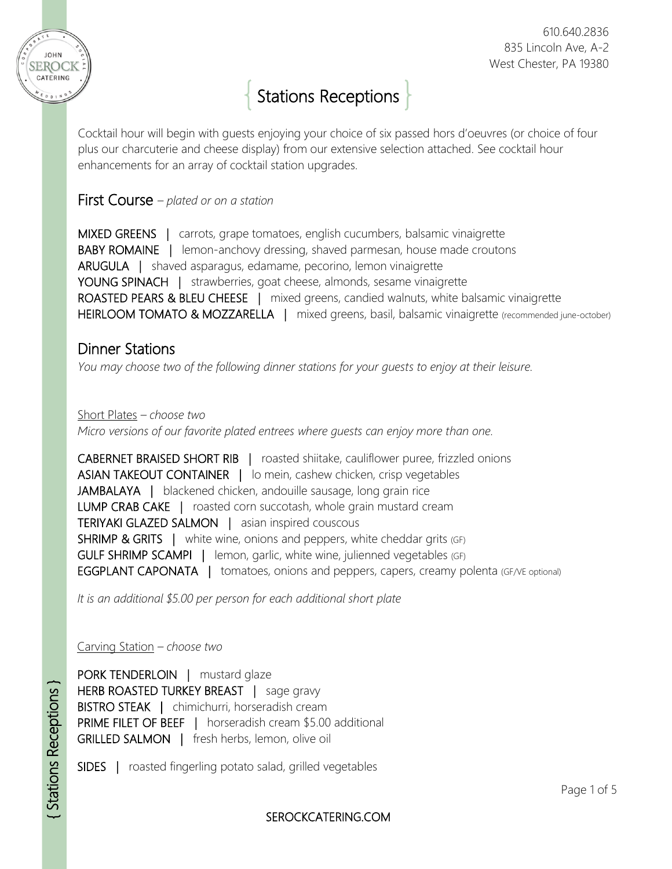

# Stations Receptions

Cocktail hour will begin with guests enjoying your choice of six passed hors d'oeuvres (or choice of four plus our charcuterie and cheese display) from our extensive selection attached. See cocktail hour enhancements for an array of cocktail station upgrades.

### First Course *– plated or on a station*

MIXED GREENS | carrots, grape tomatoes, english cucumbers, balsamic vinaigrette BABY ROMAINE | lemon-anchovy dressing, shaved parmesan, house made croutons ARUGULA | shaved asparagus, edamame, pecorino, lemon vinaigrette YOUNG SPINACH | strawberries, goat cheese, almonds, sesame vinaigrette ROASTED PEARS & BLEU CHEESE | mixed greens, candied walnuts, white balsamic vinaigrette HEIRLOOM TOMATO & MOZZARELLA | mixed greens, basil, balsamic vinaigrette (recommended june-october)

# Dinner Stations

*You may choose two of the following dinner stations for your guests to enjoy at their leisure.*

Short Plates *– choose two Micro versions of our favorite plated entrees where guests can enjoy more than one.*

CABERNET BRAISED SHORT RIB | roasted shiitake, cauliflower puree, frizzled onions ASIAN TAKEOUT CONTAINER | lo mein, cashew chicken, crisp vegetables JAMBALAYA | blackened chicken, andouille sausage, long grain rice LUMP CRAB CAKE | roasted corn succotash, whole grain mustard cream TERIYAKI GLAZED SALMON | asian inspired couscous SHRIMP & GRITS | white wine, onions and peppers, white cheddar grits (GF) GULF SHRIMP SCAMPI | lemon, garlic, white wine, julienned vegetables (GF) **EGGPLANT CAPONATA** | tomatoes, onions and peppers, capers, creamy polenta (GF/VE optional)

*It is an additional \$5.00 per person for each additional short plate*

Carving Station *– choose two*

PORK TENDERLOIN | mustard glaze HERB ROASTED TURKEY BREAST | sage gravy BISTRO STEAK | chimichurri, horseradish cream PRIME FILET OF BEEF | horseradish cream \$5.00 additional GRILLED SALMON | fresh herbs, lemon, olive oil

SIDES | roasted fingerling potato salad, grilled vegetables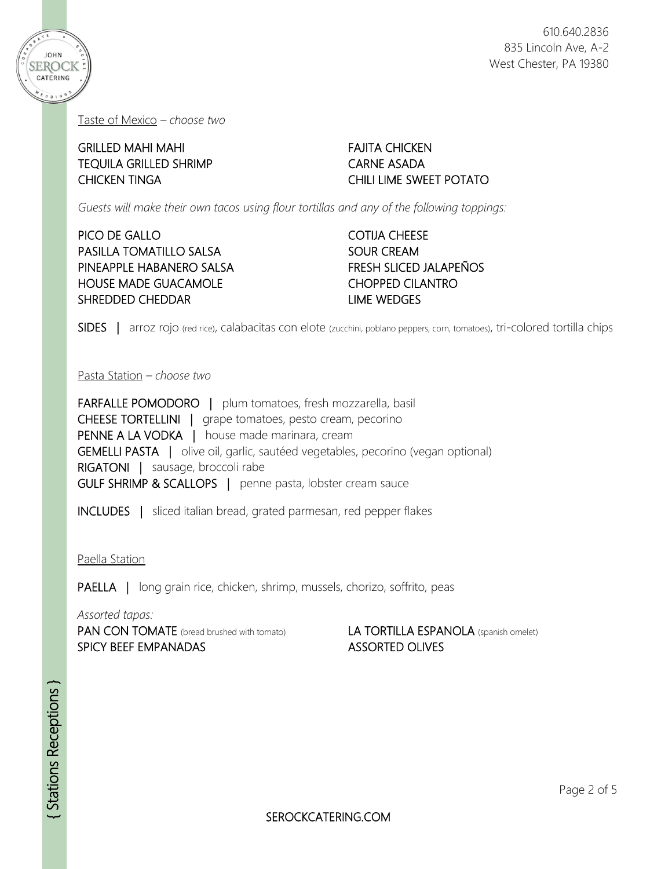

Taste of Mexico *– choose two*

GRILLED MAHI MAHI TEQUILA GRILLED SHRIMP CHICKEN TINGA

FAJITA CHICKEN CARNE ASADA CHILI LIME SWEET POTATO

*Guests will make their own tacos using flour tortillas and any of the following toppings:*

#### PICO DE GALLO PASILLA TOMATILLO SALSA PINEAPPLE HABANERO SALSA HOUSE MADE GUACAMOLE SHREDDED CHEDDAR

COTIJA CHEESE SOUR CREAM FRESH SLICED JALAPEÑOS CHOPPED CILANTRO LIME WEDGES

SIDES | arroz rojo (red rice), calabacitas con elote (zucchini, poblano peppers, corn, tomatoes), tri-colored tortilla chips

Pasta Station *– choose two*

FARFALLE POMODORO | plum tomatoes, fresh mozzarella, basil CHEESE TORTELLINI | grape tomatoes, pesto cream, pecorino PENNE A LA VODKA | house made marinara, cream GEMELLI PASTA | olive oil, garlic, sautéed vegetables, pecorino (vegan optional) RIGATONI | sausage, broccoli rabe GULF SHRIMP & SCALLOPS | penne pasta, lobster cream sauce

INCLUDES | sliced italian bread, grated parmesan, red pepper flakes

Paella Station

PAELLA | long grain rice, chicken, shrimp, mussels, chorizo, soffrito, peas

*Assorted tapas:*

PAN CON TOMATE (bread brushed with tomato) SPICY BEEF EMPANADAS

#### LA TORTILLA ESPANOLA (spanish omelet) ASSORTED OLIVES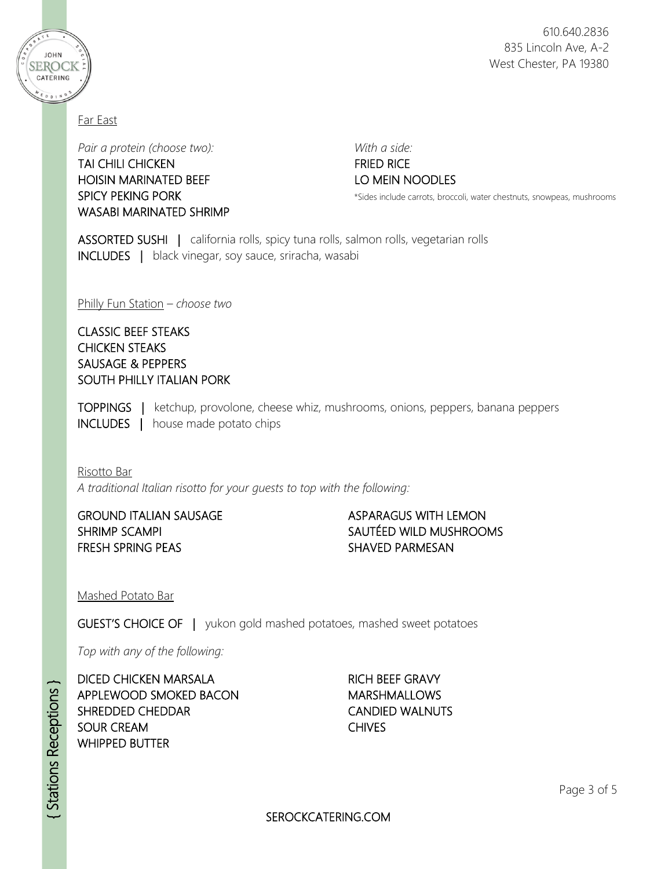

Far East

**JOHN** SEROCK CATERING

> *Pair a protein (choose two): With a side:* TAI CHILI CHICKEN FRIED RICE HOISIN MARINATED BEEF LOWEIN NOODLES WASABI MARINATED SHRIMP

SPICY PEKING PORK **\*Sides include carrots, broccoli, water chestnuts**, snowpeas, mushrooms

ASSORTED SUSHI | california rolls, spicy tuna rolls, salmon rolls, vegetarian rolls INCLUDES | black vinegar, soy sauce, sriracha, wasabi

Philly Fun Station *– choose two*

#### CLASSIC BEEF STEAKS CHICKEN STEAKS SAUSAGE & PEPPERS SOUTH PHILLY ITALIAN PORK

TOPPINGS | ketchup, provolone, cheese whiz, mushrooms, onions, peppers, banana peppers INCLUDES | house made potato chips

#### Risotto Bar

*A traditional Italian risotto for your guests to top with the following:*

GROUND ITALIAN SAUSAGE SHRIMP SCAMPI FRESH SPRING PEAS

#### ASPARAGUS WITH LEMON SAUTÉED WILD MUSHROOMS SHAVED PARMESAN

Mashed Potato Bar

GUEST'S CHOICE OF | yukon gold mashed potatoes*,* mashed sweet potatoes

*Top with any of the following:*

DICED CHICKEN MARSALA APPLEWOOD SMOKED BACON SHREDDED CHEDDAR SOUR CREAM WHIPPED BUTTER

RICH BEEF GRAVY MARSHMALLOWS CANDIED WALNUTS CHIVES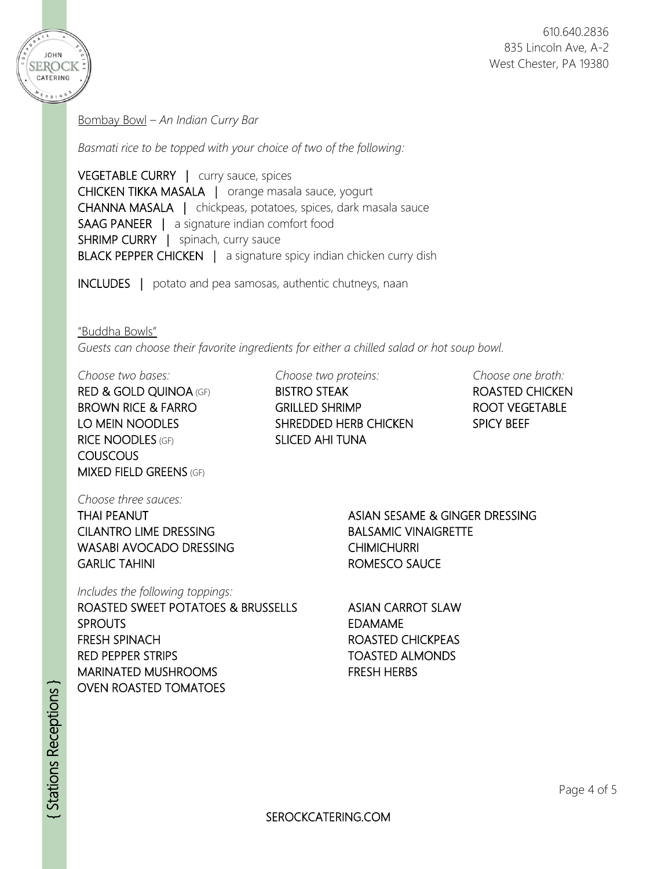

Bombay Bowl *– An Indian Curry Bar*

*Basmati rice to be topped with your choice of two of the following:*

VEGETABLE CURRY | curry sauce, spices CHICKEN TIKKA MASALA | orange masala sauce, yogurt CHANNA MASALA | chickpeas, potatoes, spices, dark masala sauce SAAG PANEER | a signature indian comfort food SHRIMP CURRY | spinach, curry sauce BLACK PEPPER CHICKEN | a signature spicy indian chicken curry dish

INCLUDES | potato and pea samosas, authentic chutneys, naan

"Buddha Bowls"

*Guests can choose their favorite ingredients for either a chilled salad or hot soup bowl.*

RICE NOODLES (GF) SLICED AHI TUNA COUSCOUS MIXED FIELD GREENS (GF)

*Choose two bases: Choose two proteins: Choose one broth:*

RED & GOLD QUINOA (GF) BISTRO STEAK ROASTED CHICKEN BROWN RICE & FARRO GRILLED SHRIMP THE ROOT VEGETABLE LO MEIN NOODLES SHREDDED HERB CHICKEN SPICY BEEF

*Choose three sauces:*

THAI PEANUT CILANTRO LIME DRESSING WASABI AVOCADO DRESSING GARLIC TAHINI

*Includes the following toppings:* 

ROASTED SWEET POTATOES & BRUSSELLS SPROUTS FRESH SPINACH RED PEPPER STRIPS MARINATED MUSHROOMS OVEN ROASTED TOMATOES

ASIAN SESAME & GINGER DRESSING BALSAMIC VINAIGRETTE **CHIMICHURRI** ROMESCO SAUCE

ASIAN CARROT SLAW EDAMAME ROASTED CHICKPEAS TOASTED ALMONDS FRESH HERBS